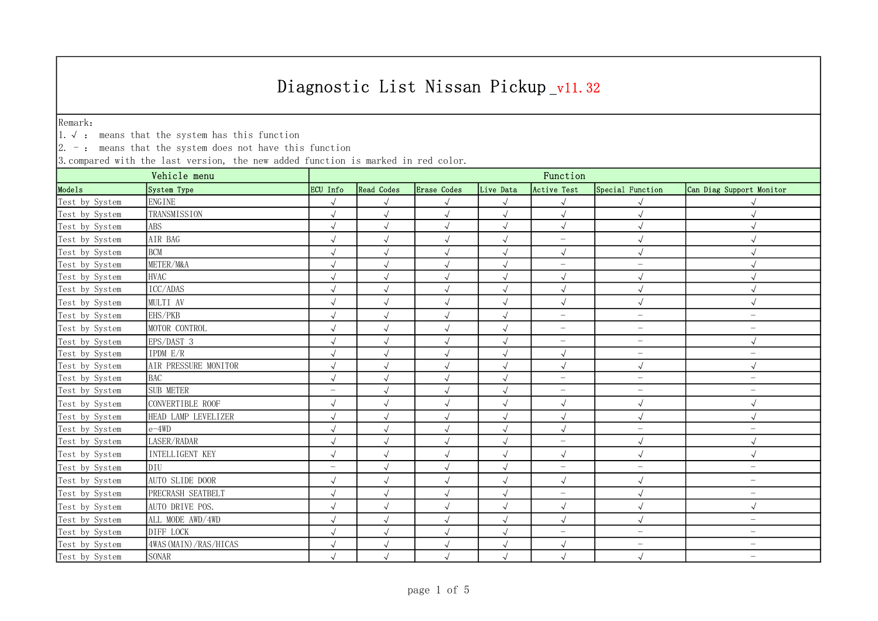Remark:

1.√ : means that the system has this function

 $\vert 2.$  -: means that the system does not have this function

| Vehicle menu   |                         | Function                 |                      |             |            |                          |                          |                                 |  |  |
|----------------|-------------------------|--------------------------|----------------------|-------------|------------|--------------------------|--------------------------|---------------------------------|--|--|
| Models         | System Type             | ECU Info                 | <b>Read Codes</b>    | Erase Codes | Live Data  | Active Test              | Special Function         | Can Diag Support Monitor        |  |  |
| Test by System | ENGINE                  | $\sqrt{ }$               | $\sqrt{ }$           | $\sqrt{}$   | $\sqrt{ }$ |                          |                          |                                 |  |  |
| Test by System | TRANSMISSION            | $\sqrt{ }$               | $\sqrt{ }$           | $\sqrt{ }$  | $\sqrt{ }$ | $\sqrt{ }$               | $\sqrt{ }$               | $\sqrt{ }$                      |  |  |
| Test by System | ABS                     |                          | $\sqrt{ }$           | $\sqrt{ }$  | $\sqrt{ }$ | $\sqrt{2}$               |                          | $\sqrt{ }$                      |  |  |
| Test by System | AIR BAG                 | $\sqrt{ }$               | $\sqrt{ }$           | $\sqrt{ }$  | $\sqrt{ }$ | $\qquad \qquad -$        | $\sqrt{ }$               | $\sqrt{ }$                      |  |  |
| Test by System | <b>BCM</b>              | $\sqrt{ }$               | $\sqrt{ }$           | $\sqrt{ }$  | $\sqrt{ }$ | $\sqrt{ }$               |                          | $\sqrt{ }$                      |  |  |
| Test by System | METER/M&A               | $\sqrt{ }$               | $\sqrt{}$            | $\sqrt{}$   | $\sqrt{ }$ | $\overline{\phantom{m}}$ | $\qquad \qquad -$        |                                 |  |  |
| Test by System | <b>HVAC</b>             | $\sqrt{}$                | $\sqrt{ }$           | $\sqrt{ }$  | $\sqrt{ }$ | $\sqrt{ }$               | $\sqrt{ }$               | $\sqrt{ }$                      |  |  |
| Test by System | ICC/ADAS                | $\sqrt{}$                | $\sqrt{ }$           | $\sqrt{}$   | $\sqrt{ }$ | $\sqrt{ }$               | $\sqrt{}$                | $\sqrt{ }$                      |  |  |
| Test by System | MULTI AV                | $\sqrt{ }$               | $\sqrt{\phantom{a}}$ | $\sqrt{ }$  | $\sqrt{ }$ | $\checkmark$             |                          | $\sqrt{ }$                      |  |  |
| Test by System | EHS/PKB                 | $\sqrt{2}$               | $\sqrt{ }$           | $\sqrt{}$   | $\sqrt{ }$ | $\qquad \qquad -$        | $\qquad \qquad -$        | $\overline{\phantom{m}}$        |  |  |
| Test by System | MOTOR CONTROL           | $\sqrt{}$                | $\sqrt{}$            | $\sqrt{}$   | $\sqrt{}$  | $\overline{\phantom{m}}$ | $\qquad \qquad -$        | $\overline{\phantom{m}}$        |  |  |
| Test by System | EPS/DAST 3              | $\sqrt{}$                | $\sqrt{}$            | $\sqrt{}$   | $\sqrt{ }$ | $\overline{\phantom{m}}$ | $\qquad \qquad -$        | $\sqrt{ }$                      |  |  |
| Test by System | IPDM E/R                | $\sqrt{ }$               | $\sqrt{ }$           | $\sqrt{ }$  | $\sqrt{ }$ | $\sqrt{ }$               | $\overline{\phantom{m}}$ | $\overline{\phantom{0}}$        |  |  |
| Test by System | AIR PRESSURE MONITOR    | $\sqrt{ }$               | $\checkmark$         | $\sqrt{ }$  | $\sqrt{ }$ | $\sqrt{ }$               | $\sqrt{ }$               | $\sqrt{ }$                      |  |  |
| Test by System | <b>BAC</b>              | $\sqrt{}$                | $\sqrt{ }$           | $\sqrt{ }$  | $\sqrt{ }$ | $\equiv$                 | $\qquad \qquad -$        | $\overline{\phantom{0}}$        |  |  |
| Test by System | SUB METER               | $\overline{\phantom{m}}$ | $\sqrt{ }$           | $\sqrt{ }$  | $\sqrt{ }$ | $\overline{\phantom{m}}$ | $\overline{\phantom{m}}$ | $\qquad \qquad -$               |  |  |
| Test by System | CONVERTIBLE ROOF        | $\sqrt{ }$               | $\sqrt{ }$           | $\sqrt{ }$  | $\sqrt{ }$ | $\sqrt{ }$               | $\sqrt{ }$               | $\sqrt{ }$                      |  |  |
| Test by System | HEAD LAMP LEVELIZER     |                          | $\sqrt{ }$           | $\sqrt{ }$  | $\sqrt{ }$ | $\sqrt{ }$               |                          | $\sqrt{ }$                      |  |  |
| Test by System | $e-4WD$                 | $\sqrt{ }$               | $\sqrt{ }$           | $\sqrt{ }$  | $\sqrt{ }$ | $\sqrt{ }$               | $\qquad \qquad -$        | $\overline{\phantom{m}}$        |  |  |
| Test by System | LASER/RADAR             | $\sqrt{ }$               | $\sqrt{ }$           | $\sqrt{ }$  | $\sqrt{ }$ | $\overline{\phantom{m}}$ | $\sqrt{ }$               | $\sqrt{ }$                      |  |  |
| Test by System | <b>INTELLIGENT KEY</b>  | $\sqrt{ }$               | $\sqrt{ }$           | $\sqrt{ }$  | $\sqrt{ }$ | $\sqrt{ }$               | $\sqrt{ }$               | $\sqrt{ }$                      |  |  |
| Test by System | DIU                     | $\qquad \qquad -$        | $\sqrt{ }$           | $\sqrt{ }$  | $\sqrt{ }$ | $\overline{\phantom{m}}$ | $\qquad \qquad -$        | $\overline{\phantom{m}}$        |  |  |
| Test by System | AUTO SLIDE DOOR         | $\sqrt{ }$               | $\sqrt{\phantom{a}}$ | $\sqrt{ }$  | $\sqrt{ }$ | $\sqrt{ }$               | $\sqrt{ }$               | $\overline{\phantom{m}}$        |  |  |
| Test by System | PRECRASH SEATBELT       | $\sqrt{ }$               | $\sqrt{ }$           | $\sqrt{}$   | $\sqrt{ }$ | $\overline{\phantom{m}}$ |                          | $\overline{\phantom{m}}$        |  |  |
| Test by System | AUTO DRIVE POS.         | $\sqrt{ }$               | $\sqrt{\phantom{a}}$ | $\sqrt{ }$  | $\sqrt{ }$ | $\sqrt{ }$               | $\sqrt{ }$               | $\sqrt{ }$                      |  |  |
| Test by System | ALL MODE AWD/4WD        | $\sqrt{ }$               | $\sqrt{ }$           | $\sqrt{}$   | $\sqrt{ }$ | $\sqrt{ }$               |                          | $\overline{\phantom{m}}$        |  |  |
| Test by System | DIFF LOCK               | $\sqrt{ }$               | $\sqrt{ }$           | $\sqrt{ }$  | $\sqrt{ }$ | $\overline{\phantom{0}}$ | $\overline{\phantom{0}}$ | $\overbrace{\phantom{1232211}}$ |  |  |
| Test by System | 4WAS (MAIN) / RAS/HICAS |                          | $\sqrt{ }$           | $\sqrt{}$   |            | $\sqrt{ }$               | $\overline{\phantom{m}}$ | $\overline{\phantom{0}}$        |  |  |
| Test by System | SONAR                   |                          | $\sqrt{}$            |             |            |                          |                          | $\qquad \qquad -$               |  |  |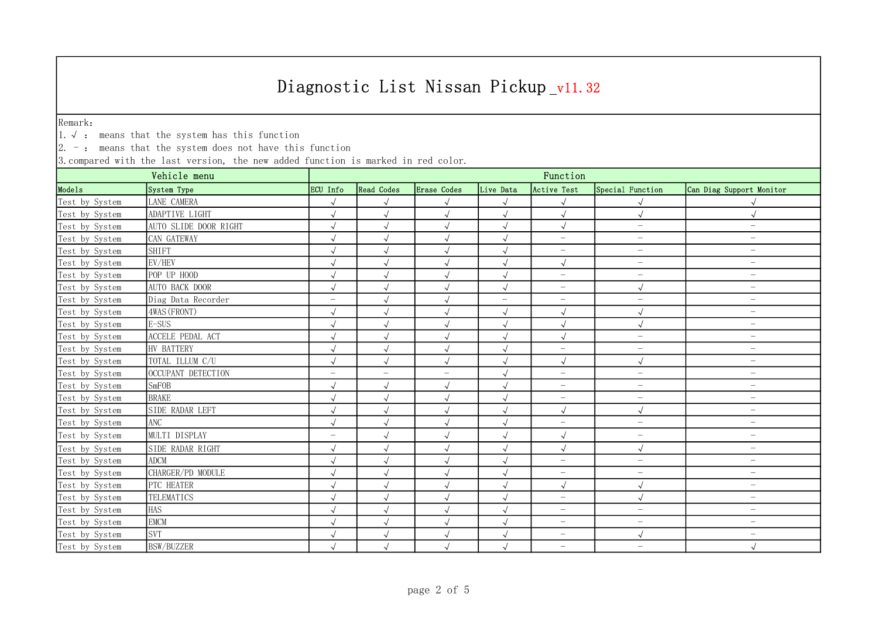Remark:

1.√ : means that the system has this function

 $\vert 2.$  -: means that the system does not have this function

|                | Function              |                          |                          |                          |                          |                          |                          |                          |  |
|----------------|-----------------------|--------------------------|--------------------------|--------------------------|--------------------------|--------------------------|--------------------------|--------------------------|--|
| Mode1s         | System Type           | ECU Info                 | <b>Read Codes</b>        | <b>Erase</b> Codes       | Live Data                | Active Test              | Special Function         | Can Diag Support Monitor |  |
| Test by System | LANE CAMERA           | $\sqrt{ }$               | $\sqrt{ }$               | $\sqrt{ }$               |                          | $\sqrt{ }$               |                          |                          |  |
| Test by System | ADAPTIVE LIGHT        | $\sqrt{}$                | $\sqrt{ }$               | $\sqrt{ }$               | $\sqrt{ }$               | $\sqrt{2}$               | $\sqrt{}$                | $\sqrt{ }$               |  |
| Test by System | AUTO SLIDE DOOR RIGHT | $\sqrt{ }$               | $\sqrt{ }$               | $\sqrt{ }$               | $\sqrt{ }$               | $\sqrt{ }$               | $\overline{\phantom{m}}$ | $\overline{\phantom{m}}$ |  |
| Test by System | CAN GATEWAY           |                          | $\sqrt{ }$               | $\sqrt{ }$               | $\sqrt{ }$               | $\qquad \qquad -$        | $\overline{\phantom{0}}$ | $\qquad \qquad -$        |  |
| Test by System | <b>SHIFT</b>          |                          | $\sqrt{ }$               | $\sqrt{ }$               | $\sqrt{ }$               | $\overline{\phantom{a}}$ | $\overline{\phantom{m}}$ | $\overline{\phantom{0}}$ |  |
| Test by System | EV/HEV                | $\sqrt{ }$               | $\sqrt{ }$               | $\sqrt{}$                | $\sqrt{ }$               | $\sqrt{ }$               | $\overline{\phantom{0}}$ | $\overline{\phantom{0}}$ |  |
| Test by System | POP UP HOOD           | $\sqrt{ }$               | $\sqrt{}$                | $\sqrt{ }$               | $\sqrt{ }$               | $\qquad \qquad -$        | $\overline{\phantom{0}}$ | $\overline{\phantom{0}}$ |  |
| Test by System | <b>AUTO BACK DOOR</b> | $\sqrt{2}$               | $\sqrt{\phantom{a}}$     | $\sqrt{ }$               | $\sqrt{ }$               | $\overline{\phantom{m}}$ | $\sqrt{ }$               | $\qquad \qquad -$        |  |
| Test by System | Diag Data Recorder    | $\overline{\phantom{0}}$ | $\sqrt{ }$               | $\sqrt{\phantom{a}}$     | $\overline{\phantom{0}}$ | $\qquad \qquad -$        | $\overline{\phantom{0}}$ | $\qquad \qquad -$        |  |
| Test by System | 4WAS (FRONT)          | $\sqrt{ }$               | $\sqrt{ }$               | $\sqrt{ }$               | $\sqrt{}$                | $\sqrt{ }$               | $\sqrt{}$                | $\qquad \qquad -$        |  |
| Test by System | $E-SUS$               | $\sqrt{}$                | $\sqrt{ }$               | $\sqrt{ }$               | $\sqrt{ }$               | $\sqrt{ }$               | $\sqrt{}$                | $\overline{\phantom{0}}$ |  |
| Test by System | ACCELE PEDAL ACT      | $\sqrt{ }$               | $\sqrt{ }$               | $\sqrt{ }$               | $\sqrt{ }$               | $\sqrt{ }$               | $\overline{\phantom{0}}$ | $\overline{\phantom{0}}$ |  |
| Test by System | HV BATTERY            | $\sqrt{2}$               | $\sqrt{ }$               | $\sqrt{}$                | $\sqrt{ }$               | $\qquad \qquad -$        | $\overline{\phantom{0}}$ | $\qquad \qquad -$        |  |
| Test by System | TOTAL ILLUM C/U       | $\sqrt{ }$               | $\sqrt{\phantom{a}}$     | $\sqrt{ }$               | $\sqrt{ }$               | $\sqrt{ }$               | $\sqrt{2}$               | $\overline{\phantom{0}}$ |  |
| Test by System | OCCUPANT DETECTION    | $\overline{\phantom{0}}$ | $\overline{\phantom{0}}$ | $\overline{\phantom{m}}$ | $\sqrt{ }$               | $\equiv$                 | $\equiv$                 | $\qquad \qquad -$        |  |
| Test by System | SmFOB                 | $\sqrt{ }$               | $\sqrt{ }$               | $\sqrt{ }$               | $\sqrt{ }$               | $\qquad \qquad -$        | $\overline{\phantom{0}}$ | $\overline{\phantom{0}}$ |  |
| Test by System | <b>BRAKE</b>          | $\sqrt{ }$               | $\sqrt{ }$               | $\sqrt{ }$               | $\sqrt{ }$               | $\overline{\phantom{m}}$ | $\overline{\phantom{0}}$ | $\overline{\phantom{0}}$ |  |
| Test by System | SIDE RADAR LEFT       | $\sqrt{}$                | $\sqrt{ }$               | $\sqrt{ }$               | $\sqrt{ }$               | $\sqrt{ }$               | $\sqrt{}$                | $\overline{\phantom{0}}$ |  |
| Test by System | ANC                   | $\sqrt{ }$               | $\sqrt{}$                | $\sqrt{ }$               | $\sqrt{ }$               | $\overline{\phantom{m}}$ | $\overline{\phantom{0}}$ | $\qquad \qquad -$        |  |
| Test by System | MULTI DISPLAY         | $\overline{\phantom{0}}$ | $\sqrt{ }$               | $\sqrt{ }$               | $\sqrt{ }$               | $\sqrt{2}$               | $\overline{\phantom{0}}$ | $\overline{\phantom{0}}$ |  |
| Test by System | SIDE RADAR RIGHT      | $\sqrt{ }$               | $\sqrt{ }$               | $\sqrt{ }$               | $\sqrt{ }$               | $\sqrt{ }$               | $\sqrt{2}$               | $\overline{\phantom{0}}$ |  |
| Test by System | <b>ADCM</b>           | $\sqrt{ }$               | $\sqrt{ }$               | $\sqrt{ }$               | $\sqrt{ }$               | $\overline{\phantom{m}}$ | $\overline{\phantom{0}}$ | $\qquad \qquad -$        |  |
| Test by System | CHARGER/PD MODULE     | $\sqrt{ }$               | $\sqrt{}$                | $\sqrt{ }$               | $\sqrt{ }$               | $\qquad \qquad -$        | $\overline{\phantom{0}}$ | $\overline{\phantom{0}}$ |  |
| Test by System | PTC HEATER            | $\sqrt{ }$               | $\sqrt{ }$               | $\sqrt{}$                | $\sqrt{ }$               | $\sqrt{ }$               | $\sqrt{ }$               | $\qquad \qquad -$        |  |
| Test by System | TELEMATICS            | $\sqrt{ }$               | $\sqrt{ }$               | $\sqrt{ }$               | $\sqrt{ }$               | $\equiv$                 | $\sqrt{}$                | $\qquad \qquad -$        |  |
| Test by System | <b>HAS</b>            | $\sqrt{ }$               | $\sqrt{}$                | $\sqrt{ }$               | $\sqrt{ }$               | $\overline{\phantom{m}}$ | $\overline{\phantom{0}}$ | $\overline{\phantom{0}}$ |  |
| Test by System | <b>EMCM</b>           | $\sqrt{ }$               | $\sqrt{ }$               | $\sqrt{ }$               | $\sqrt{ }$               | $\qquad \qquad -$        | $\overline{\phantom{0}}$ | $\qquad \qquad -$        |  |
| Test by System | <b>SVT</b>            | $\sqrt{ }$               | $\sqrt{\phantom{a}}$     | $\sqrt{ }$               | $\sqrt{ }$               | $\qquad \qquad -$        | $\sqrt{}$                | $\overline{\phantom{0}}$ |  |
| Test by System | <b>BSW/BUZZER</b>     | $\sqrt{ }$               | $\sqrt{}$                | $\sqrt{ }$               | $\sqrt{ }$               | $\overline{\phantom{m}}$ | $\overline{\phantom{m}}$ |                          |  |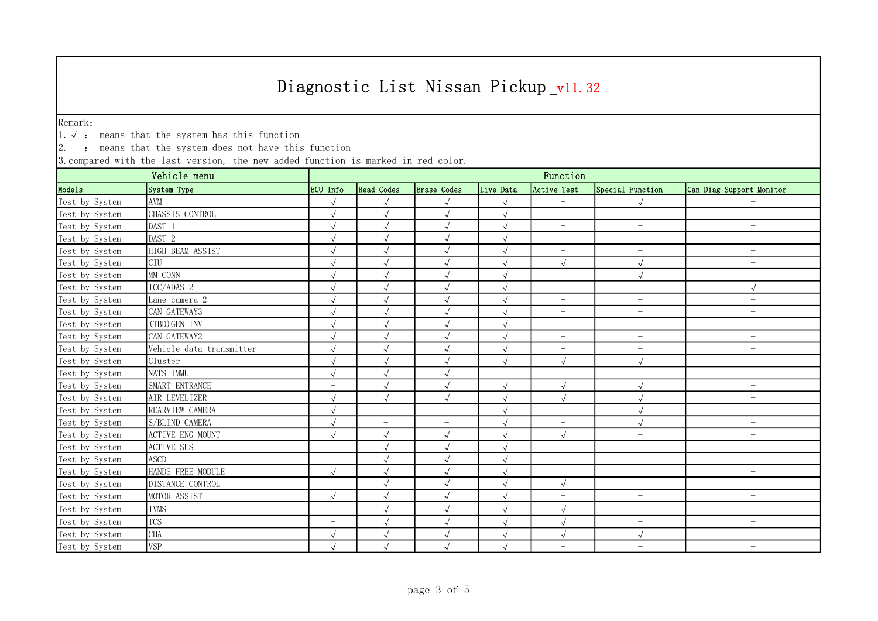Remark:

1.√ : means that the system has this function

 $\vert 2.$  -: means that the system does not have this function

| Vehicle menu   |                          | Function                 |                      |                          |                          |                          |                          |                                 |  |  |
|----------------|--------------------------|--------------------------|----------------------|--------------------------|--------------------------|--------------------------|--------------------------|---------------------------------|--|--|
| Models         | System Type              | ECU Info                 | <b>Read Codes</b>    | Erase Codes              | Live Data                | Active Test              | Special Function         | Can Diag Support Monitor        |  |  |
| Test by System | AVM                      | $\sqrt{ }$               | $\sqrt{\phantom{a}}$ | $\sqrt{ }$               | $\sqrt{ }$               | $\overline{\phantom{m}}$ |                          |                                 |  |  |
| Test by System | CHASSIS CONTROL          | $\sqrt{}$                | $\sqrt{\phantom{a}}$ | $\sqrt{}$                | $\sqrt{ }$               | $\overline{\phantom{0}}$ | $\overline{\phantom{0}}$ | $\overline{\phantom{m}}$        |  |  |
| Test by System | DAST 1                   | $\sqrt{}$                | $\sqrt{ }$           | $\sqrt{ }$               | $\sqrt{ }$               | $\overline{\phantom{m}}$ | $\overline{\phantom{0}}$ | $\overline{\phantom{0}}$        |  |  |
| Test by System | DAST 2                   |                          | $\sqrt{ }$           | $\sqrt{ }$               |                          | $\qquad \qquad -$        | $\overline{\phantom{0}}$ | $\overline{\phantom{m}}$        |  |  |
| Test by System | HIGH BEAM ASSIST         |                          | $\checkmark$         | $\sqrt{ }$               | $\sqrt{ }$               | $\overline{\phantom{m}}$ | $\overline{\phantom{a}}$ | $\qquad \qquad -$               |  |  |
| Test by System | CIU                      | $\sqrt{2}$               | $\sqrt{}$            | $\sqrt{}$                | $\sqrt{ }$               | $\sqrt{2}$               | $\sqrt{}$                | $\overline{\phantom{m}}$        |  |  |
| Test by System | MM CONN                  | $\sqrt{}$                | $\sqrt{ }$           | $\sqrt{}$                | $\sqrt{ }$               | $\overline{\phantom{0}}$ | $\sqrt{ }$               | $\overline{\phantom{0}}$        |  |  |
| Test by System | ICC/ADAS 2               |                          | $\sqrt{ }$           | $\sqrt{ }$               |                          | $\overline{\phantom{m}}$ | $\overline{\phantom{m}}$ | $\sqrt{ }$                      |  |  |
| Test by System | Lane camera 2            |                          | $\sqrt{ }$           | $\sqrt{ }$               | $\sqrt{ }$               | $\overline{\phantom{m}}$ | $\overline{\phantom{m}}$ | $\overline{\phantom{m}}$        |  |  |
| Test by System | CAN GATEWAY3             | $\sqrt{ }$               | $\checkmark$         | $\sqrt{ }$               | $\sqrt{ }$               | $\qquad \qquad -$        | $\overline{\phantom{m}}$ | $\overline{\phantom{m}}$        |  |  |
| Test by System | (TBD) GEN-INV            | $\sqrt{}$                | $\sqrt{ }$           | $\sqrt{ }$               | $\sqrt{ }$               | $\overline{\phantom{0}}$ | $\overline{\phantom{0}}$ | $\overline{\phantom{a}}$        |  |  |
| Test by System | CAN GATEWAY2             | $\sqrt{ }$               | $\sqrt{ }$           | $\sqrt{}$                |                          | $\qquad \qquad -$        | $\qquad \qquad -$        | $\overbrace{\phantom{1232211}}$ |  |  |
| Test by System | Vehicle data transmitter |                          | $\sqrt{ }$           | $\sqrt{ }$               | $\sqrt{ }$               | $\overline{\phantom{0}}$ | $\qquad \qquad -$        | $\qquad \qquad -$               |  |  |
| Test by System | Cluster                  | $\sqrt{}$                | $\sqrt{ }$           | $\sqrt{}$                | $\sqrt{ }$               | $\sqrt{2}$               | $\sqrt{ }$               | $\overbrace{\phantom{1232211}}$ |  |  |
| Test by System | NATS IMMU                | $\sqrt{ }$               | $\sqrt{ }$           | $\sqrt{ }$               | $\overline{\phantom{0}}$ | $\overline{\phantom{0}}$ | $\qquad \qquad -$        | $\overline{\phantom{0}}$        |  |  |
| Test by System | SMART ENTRANCE           | $\overline{\phantom{m}}$ | $\sqrt{ }$           | $\sqrt{ }$               | $\sqrt{ }$               | $\sqrt{ }$               | $\sqrt{ }$               | $\overline{\phantom{m}}$        |  |  |
| Test by System | AIR LEVELIZER            |                          | $\sqrt{ }$           | $\sqrt{ }$               | $\sqrt{ }$               | $\sqrt{ }$               |                          | $\overline{\phantom{0}}$        |  |  |
| Test by System | REARVIEW CAMERA          | $\sqrt{ }$               | $\qquad \qquad -$    | $\overline{\phantom{m}}$ |                          | $\qquad \qquad -$        | $\sqrt{2}$               | $\overline{\phantom{m}}$        |  |  |
| Test by System | S/BLIND CAMERA           | $\sqrt{ }$               | $\equiv$             | $\overline{\phantom{m}}$ | $\sqrt{ }$               | $\overline{\phantom{0}}$ | $\sqrt{ }$               | $-$                             |  |  |
| Test by System | <b>ACTIVE ENG MOUNT</b>  | $\sqrt{ }$               | $\sqrt{ }$           | $\sqrt{ }$               |                          | $\sqrt{ }$               | $\qquad \qquad -$        | $\overline{\phantom{m}}$        |  |  |
| Test by System | <b>ACTIVE SUS</b>        | $\overline{\phantom{0}}$ | $\sqrt{ }$           | $\sqrt{ }$               | $\sqrt{ }$               | $\overline{\phantom{m}}$ | $\qquad \qquad -$        | $\qquad \qquad -$               |  |  |
| Test by System | ASCD                     | $\qquad \qquad -$        | $\sqrt{}$            | $\sqrt{}$                | $\sqrt{ }$               | $\overline{\phantom{a}}$ | $\overline{\phantom{0}}$ | $\overbrace{\phantom{1232211}}$ |  |  |
| Test by System | HANDS FREE MODULE        | $\sqrt{ }$               | $\sqrt{ }$           | $\sqrt{ }$               | $\sqrt{ }$               |                          |                          | $\overline{\phantom{0}}$        |  |  |
| Test by System | DISTANCE CONTROL         | $\overline{\phantom{m}}$ | $\sqrt{ }$           | $\sqrt{ }$               |                          | $\sqrt{ }$               | $\overline{\phantom{a}}$ | $\overline{\phantom{m}}$        |  |  |
| Test by System | MOTOR ASSIST             | $\sqrt{ }$               | $\checkmark$         | $\sqrt{ }$               | $\sqrt{ }$               | $\overline{\phantom{0}}$ | $\overline{\phantom{0}}$ | $\overline{\phantom{m}}$        |  |  |
| Test by System | <b>IVMS</b>              | $\qquad \qquad -$        | $\sqrt{ }$           | $\sqrt{ }$               | $\sqrt{ }$               | $\sqrt{ }$               | $\overline{\phantom{m}}$ | $\overbrace{\phantom{1232211}}$ |  |  |
| Test by System | <b>TCS</b>               | $\overline{\phantom{m}}$ | $\sqrt{ }$           | $\sqrt{ }$               | $\sqrt{ }$               | $\sqrt{ }$               | $\overline{\phantom{m}}$ | $\overline{\phantom{m}}$        |  |  |
| Test by System | <b>CHA</b>               | $\sqrt{}$                | $\sqrt{ }$           | $\sqrt{ }$               |                          | $\sqrt{2}$               | $\sqrt{ }$               | $\overline{\phantom{m}}$        |  |  |
| Test by System | <b>VSP</b>               | $\sqrt{}$                | $\sqrt{}$            | $\sqrt{}$                | $\sqrt{ }$               | $\overline{\phantom{a}}$ | $\overline{\phantom{0}}$ | $\overline{\phantom{m}}$        |  |  |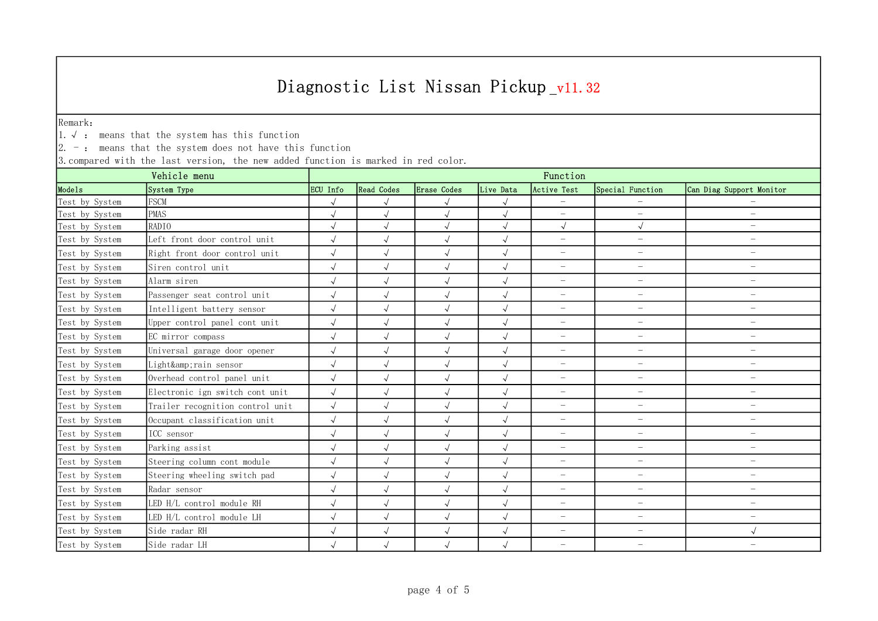Remark:

1.√ : means that the system has this function

 $\vert 2.$  -: means that the system does not have this function

| Vehicle menu   |                                  | Function   |                                                                                                              |              |            |                          |                          |                          |  |  |
|----------------|----------------------------------|------------|--------------------------------------------------------------------------------------------------------------|--------------|------------|--------------------------|--------------------------|--------------------------|--|--|
| Models         | System Type                      | ECU Info   | <b>Read Codes</b><br>Erase Codes<br>Active Test<br>Special Function<br>Can Diag Support Monitor<br>Live Data |              |            |                          |                          |                          |  |  |
| Test by System | <b>FSCM</b>                      | $\sqrt{ }$ | $\sqrt{\phantom{a}}$                                                                                         | $\sqrt{ }$   | $\sqrt{ }$ | $\overline{\phantom{0}}$ |                          |                          |  |  |
| Test by System | <b>PMAS</b>                      | $\sqrt{ }$ | $\sqrt{\phantom{a}}$                                                                                         | $\sqrt{ }$   | $\sqrt{ }$ | $\overline{\phantom{0}}$ | $\equiv$                 | $\qquad \qquad -$        |  |  |
| Test by System | RADIO                            | $\sqrt{2}$ | $\sqrt{ }$                                                                                                   | $\sqrt{}$    | $\sqrt{ }$ | $\sqrt{ }$               | $\sqrt{ }$               | $-$                      |  |  |
| Test by System | Left front door control unit     |            | $\sqrt{ }$                                                                                                   | $\sqrt{ }$   | $\sqrt{ }$ | $\overline{\phantom{m}}$ | $\overline{\phantom{m}}$ | $\overline{\phantom{m}}$ |  |  |
| Test by System | Right front door control unit    | $\sqrt{ }$ | $\sqrt{ }$                                                                                                   | $\sqrt{ }$   | $\sqrt{ }$ | $\equiv$                 | $\overline{\phantom{m}}$ | $\overline{\phantom{0}}$ |  |  |
| Test by System | Siren control unit               |            | $\sqrt{ }$                                                                                                   | $\sqrt{ }$   | $\sqrt{ }$ | $\overline{\phantom{m}}$ | $\equiv$                 | $\overline{\phantom{0}}$ |  |  |
| Test by System | Alarm siren                      | $\sqrt{ }$ | $\sqrt{ }$                                                                                                   | $\sqrt{ }$   | $\sqrt{ }$ | $\overline{\phantom{0}}$ | $\equiv$                 | $\qquad \qquad -$        |  |  |
| Test by System | Passenger seat control unit      | $\sqrt{ }$ | $\sqrt{\phantom{a}}$                                                                                         | $\sqrt{ }$   | $\sqrt{ }$ | $\overline{\phantom{a}}$ | $\equiv$                 | $\overline{\phantom{m}}$ |  |  |
| Test by System | Intelligent battery sensor       |            | $\sqrt{}$                                                                                                    | $\sqrt{ }$   | $\sqrt{ }$ | $\overline{\phantom{a}}$ | $\overline{\phantom{0}}$ | $\overline{\phantom{m}}$ |  |  |
| Test by System | Upper control panel cont unit    | $\sqrt{ }$ | $\sqrt{ }$                                                                                                   | $\sqrt{ }$   | $\sqrt{ }$ | $\overline{\phantom{m}}$ | $\overline{\phantom{m}}$ | $\overline{\phantom{m}}$ |  |  |
| Test by System | EC mirror compass                | $\sqrt{ }$ | $\sqrt{\phantom{a}}$                                                                                         | $\sqrt{ }$   | $\sqrt{ }$ | $\equiv$                 | $\equiv$                 | $\overline{\phantom{m}}$ |  |  |
| Test by System | Universal garage door opener     | $\sqrt{ }$ | $\sqrt{ }$                                                                                                   | $\sqrt{ }$   | $\sqrt{ }$ | $\equiv$                 | $\overline{\phantom{a}}$ | $\overline{\phantom{m}}$ |  |  |
| Test by System | Light&rain sensor                | $\sqrt{ }$ | $\sqrt{ }$                                                                                                   | $\sqrt{ }$   | $\sqrt{ }$ | $\overline{\phantom{m}}$ | $\overline{\phantom{a}}$ | $\overline{\phantom{m}}$ |  |  |
| Test by System | Overhead control panel unit      | $\sqrt{ }$ | $\sqrt{ }$                                                                                                   | $\sqrt{ }$   | $\sqrt{}$  | $\overline{\phantom{0}}$ | $\overline{\phantom{m}}$ | $\overline{\phantom{m}}$ |  |  |
| Test by System | Electronic ign switch cont unit  | $\sqrt{ }$ | $\sqrt{\phantom{a}}$                                                                                         | $\sqrt{ }$   | $\sqrt{ }$ | $\overline{\phantom{m}}$ | $\overline{\phantom{a}}$ | $\overline{\phantom{m}}$ |  |  |
| Test by System | Trailer recognition control unit | $\sqrt{ }$ | $\sqrt{ }$                                                                                                   | $\sqrt{ }$   | $\sqrt{ }$ | $\overline{\phantom{m}}$ | $\overline{\phantom{0}}$ | $\overline{\phantom{m}}$ |  |  |
| Test by System | Occupant classification unit     | $\sqrt{2}$ | $\sqrt{ }$                                                                                                   | $\sqrt{ }$   | $\sqrt{ }$ | $\overline{\phantom{m}}$ | $\overline{\phantom{m}}$ | $\overline{\phantom{m}}$ |  |  |
| Test by System | ICC sensor                       | $\sqrt{ }$ | $\sqrt{ }$                                                                                                   | $\sqrt{ }$   | $\sqrt{ }$ | $\overline{\phantom{0}}$ | $\equiv$                 | $\overline{\phantom{m}}$ |  |  |
| Test by System | Parking assist                   | $\sqrt{ }$ | $\sqrt{ }$                                                                                                   | $\sqrt{ }$   | $\sqrt{ }$ | $\overline{\phantom{a}}$ | $\overline{\phantom{a}}$ | $\overline{\phantom{m}}$ |  |  |
| Test by System | Steering column cont module      | $\sqrt{ }$ | $\sqrt{ }$                                                                                                   | $\checkmark$ | $\sqrt{ }$ | $\overline{\phantom{m}}$ | $\overline{\phantom{0}}$ | $\overline{\phantom{m}}$ |  |  |
| Test by System | Steering wheeling switch pad     | $\sqrt{}$  | $\sqrt{ }$                                                                                                   | $\sqrt{ }$   | $\sqrt{ }$ | $\overline{\phantom{m}}$ | $\overline{\phantom{m}}$ | $\overline{\phantom{m}}$ |  |  |
| Test by System | Radar sensor                     | $\sqrt{ }$ | $\sqrt{ }$                                                                                                   | $\sqrt{ }$   | $\sqrt{ }$ | $\overline{\phantom{m}}$ | $\overline{\phantom{m}}$ | $\overline{\phantom{m}}$ |  |  |
| Test by System | LED H/L control module RH        |            | $\sqrt{ }$                                                                                                   | $\sqrt{ }$   | $\sqrt{ }$ | $\overline{\phantom{m}}$ | $\overline{\phantom{0}}$ | $\overline{\phantom{m}}$ |  |  |
| Test by System | LED H/L control module LH        | $\sqrt{ }$ | $\sqrt{ }$                                                                                                   | $\sqrt{ }$   | $\sqrt{ }$ | $\overline{\phantom{0}}$ | $\overline{\phantom{m}}$ | $\overline{\phantom{m}}$ |  |  |
| Test by System | Side radar RH                    | $\sqrt{ }$ | $\sqrt{\phantom{a}}$                                                                                         | $\sqrt{}$    | $\sqrt{ }$ | $\overline{\phantom{0}}$ | $\equiv$                 | $\sqrt{ }$               |  |  |
| Test by System | Side radar LH                    | $\sqrt{}$  | $\sqrt{ }$                                                                                                   | $\sqrt{ }$   | $\sqrt{ }$ | $\equiv$                 | $\equiv$                 | $\overline{\phantom{m}}$ |  |  |